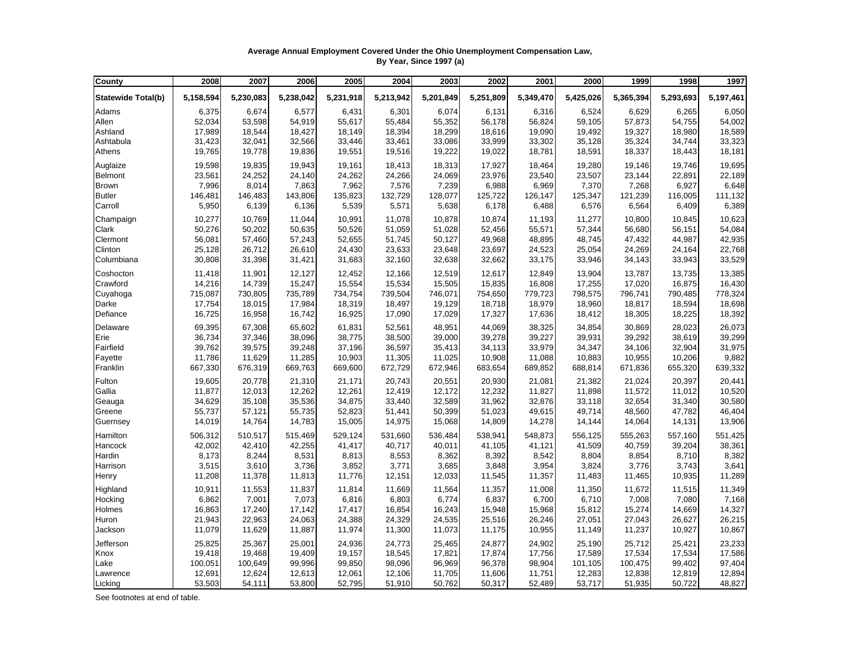## **Average Annual Employment Covered Under the Ohio Unemployment Compensation Law, By Year, Since 1997 (a)**

| County                    | 2008      | 2007      | 2006      | 2005      | 2004      | 2003      | 2002      | 2001      | 2000      | 1999      | 1998      | 1997      |
|---------------------------|-----------|-----------|-----------|-----------|-----------|-----------|-----------|-----------|-----------|-----------|-----------|-----------|
| <b>Statewide Total(b)</b> | 5,158,594 | 5,230,083 | 5,238,042 | 5,231,918 | 5,213,942 | 5,201,849 | 5,251,809 | 5,349,470 | 5,425,026 | 5,365,394 | 5,293,693 | 5,197,461 |
| Adams                     | 6,375     | 6,674     | 6,577     | 6,431     | 6,301     | 6,074     | 6,131     | 6,316     | 6,524     | 6,629     | 6,265     | 6,050     |
| Allen                     | 52,034    | 53,598    | 54,919    | 55,617    | 55,484    | 55,352    | 56,178    | 56,824    | 59,105    | 57,873    | 54,755    | 54,002    |
| Ashland                   | 17,989    | 18,544    | 18,427    | 18,149    | 18,394    | 18,299    | 18,616    | 19,090    | 19,492    | 19,327    | 18,980    | 18,589    |
| Ashtabula                 | 31,423    | 32,041    | 32,566    | 33,446    | 33,461    | 33,086    | 33,999    | 33,302    | 35,128    | 35,324    | 34,744    | 33,323    |
| Athens                    | 19,765    | 19,778    | 19,836    | 19,551    | 19,516    | 19,222    | 19,022    | 18,781    | 18,591    | 18,337    | 18,443    | 18,181    |
| Auglaize                  | 19,598    | 19,835    | 19,943    | 19,161    | 18,413    | 18,313    | 17,927    | 18,464    | 19,280    | 19,146    | 19,746    | 19,695    |
| <b>Belmont</b>            | 23,561    | 24,252    | 24,140    | 24,262    | 24,266    | 24,069    | 23,976    | 23,540    | 23,507    | 23,144    | 22,891    | 22,189    |
| <b>Brown</b>              | 7,996     | 8,014     | 7,863     | 7,962     | 7,576     | 7,239     | 6,988     | 6,969     | 7,370     | 7,268     | 6,927     | 6,648     |
| <b>Butler</b>             | 146,481   | 146,483   | 143,806   | 135,823   | 132,729   | 128,077   | 125,722   | 126,147   | 125,347   | 121,239   | 116,005   | 111,132   |
| Carroll                   | 5,950     | 6,139     | 6,136     | 5,539     | 5,571     | 5,638     | 6,178     | 6,488     | 6,576     | 6,564     | 6,409     | 6,389     |
| Champaign                 | 10,277    | 10,769    | 11,044    | 10,991    | 11,078    | 10,878    | 10,874    | 11,193    | 11,277    | 10,800    | 10,845    | 10,623    |
| Clark                     | 50,276    | 50,202    | 50,635    | 50,526    | 51,059    | 51,028    | 52,456    | 55,571    | 57,344    | 56,680    | 56,151    | 54,084    |
| Clermont                  | 56,081    | 57,460    | 57,243    | 52,655    | 51,745    | 50,127    | 49,968    | 48,895    | 48,745    | 47,432    | 44,987    | 42,935    |
| Clinton                   | 25,128    | 26,712    | 26,610    | 24,430    | 23,633    | 23,648    | 23,697    | 24,523    | 25,054    | 24,269    | 24,164    | 22,768    |
| Columbiana                | 30,808    | 31,398    | 31,421    | 31,683    | 32,160    | 32,638    | 32,662    | 33,175    | 33,946    | 34,143    | 33,943    | 33,529    |
| Coshocton                 | 11,418    | 11,901    | 12,127    | 12,452    | 12,166    | 12,519    | 12,617    | 12,849    | 13,904    | 13,787    | 13,735    | 13,385    |
| Crawford                  | 14,216    | 14,739    | 15,247    | 15,554    | 15,534    | 15,505    | 15,835    | 16,808    | 17,255    | 17,020    | 16,875    | 16,430    |
| Cuyahoga                  | 715,087   | 730,805   | 735,789   | 734,754   | 739,504   | 746,071   | 754,650   | 779,723   | 798,575   | 796,741   | 790,485   | 778,324   |
| Darke                     | 17,754    | 18,015    | 17,984    | 18,319    | 18,497    | 19,129    | 18,718    | 18,979    | 18,960    | 18,817    | 18,594    | 18,698    |
| Defiance                  | 16,725    | 16,958    | 16,742    | 16,925    | 17,090    | 17,029    | 17,327    | 17,636    | 18,412    | 18,305    | 18,225    | 18,392    |
| Delaware                  | 69,395    | 67,308    | 65,602    | 61,831    | 52,561    | 48,951    | 44,069    | 38,325    | 34,854    | 30,869    | 28,023    | 26,073    |
| Erie                      | 36,734    | 37,346    | 38,096    | 38,775    | 38,500    | 39,000    | 39,278    | 39,227    | 39,931    | 39,292    | 38,619    | 39,299    |
| Fairfield                 | 39,762    | 39,575    | 39,248    | 37,196    | 36,597    | 35,413    | 34,113    | 33,979    | 34,347    | 34,106    | 32,904    | 31,975    |
| Fayette                   | 11,786    | 11,629    | 11,285    | 10,903    | 11,305    | 11,025    | 10,908    | 11,088    | 10,883    | 10,955    | 10,206    | 9,882     |
| Franklin                  | 667,330   | 676,319   | 669,763   | 669,600   | 672,729   | 672,946   | 683,654   | 689,852   | 688,814   | 671,836   | 655,320   | 639,332   |
| Fulton                    | 19,605    | 20,778    | 21,310    | 21,171    | 20,743    | 20,551    | 20,930    | 21,081    | 21,382    | 21,024    | 20,397    | 20,441    |
| Gallia                    | 11,877    | 12,013    | 12,262    | 12,261    | 12,419    | 12,172    | 12,232    | 11,827    | 11,898    | 11,572    | 11,012    | 10,520    |
| Geauga                    | 34,629    | 35,108    | 35,536    | 34,875    | 33,440    | 32,589    | 31,962    | 32,876    | 33,118    | 32,654    | 31,340    | 30,580    |
| Greene                    | 55,737    | 57,121    | 55,735    | 52,823    | 51,441    | 50,399    | 51,023    | 49,615    | 49,714    | 48,560    | 47,782    | 46,404    |
| Guernsey                  | 14,019    | 14,764    | 14,783    | 15,005    | 14,975    | 15,068    | 14,809    | 14,278    | 14,144    | 14,064    | 14,131    | 13,906    |
| Hamilton                  | 506,312   | 510,517   | 515,469   | 529,124   | 531,660   | 536,484   | 538,941   | 548,873   | 556,125   | 555,263   | 557,160   | 551,425   |
| Hancock                   | 42,002    | 42,410    | 42,255    | 41,417    | 40,717    | 40,011    | 41,105    | 41,121    | 41,509    | 40,759    | 39,204    | 38,361    |
| Hardin                    | 8,173     | 8,244     | 8,531     | 8,813     | 8,553     | 8,362     | 8,392     | 8,542     | 8,804     | 8,854     | 8,710     | 8,382     |
| Harrison                  | 3,515     | 3,610     | 3,736     | 3,852     | 3,771     | 3,685     | 3,848     | 3,954     | 3,824     | 3,776     | 3,743     | 3,641     |
| Henry                     | 11,208    | 11,378    | 11,813    | 11,776    | 12,151    | 12,033    | 11,545    | 11,357    | 11,483    | 11,465    | 10,935    | 11,289    |
| Highland                  | 10,911    | 11,553    | 11,837    | 11,814    | 11,669    | 11,564    | 11,357    | 11,008    | 11,350    | 11,672    | 11,515    | 11,349    |
| Hocking                   | 6,862     | 7,001     | 7,073     | 6,816     | 6,803     | 6,774     | 6,837     | 6,700     | 6,710     | 7,008     | 7,080     | 7,168     |
| Holmes                    | 16,863    | 17,240    | 17,142    | 17,417    | 16,854    | 16,243    | 15,948    | 15,968    | 15,812    | 15,274    | 14,669    | 14,327    |
| Huron                     | 21,943    | 22,963    | 24,063    | 24,388    | 24,329    | 24,535    | 25,516    | 26,246    | 27,051    | 27,043    | 26,627    | 26,215    |
| Jackson                   | 11,079    | 11,629    | 11,887    | 11,974    | 11,300    | 11,073    | 11,175    | 10,955    | 11,149    | 11,237    | 10,927    | 10,867    |
| Jefferson                 | 25,825    | 25,367    | 25,001    | 24,936    | 24,773    | 25,465    | 24,877    | 24,902    | 25,190    | 25,712    | 25,421    | 23,233    |
| Knox                      | 19,418    | 19,468    | 19,409    | 19,157    | 18,545    | 17,821    | 17,874    | 17,756    | 17,589    | 17,534    | 17,534    | 17,586    |
| Lake                      | 100,051   | 100,649   | 99,996    | 99,850    | 98,096    | 96,969    | 96,378    | 98,904    | 101,105   | 100,475   | 99,402    | 97,404    |
| Lawrence                  | 12,691    | 12,624    | 12,613    | 12,061    | 12,106    | 11,705    | 11,606    | 11,751    | 12,283    | 12,838    | 12,819    | 12,894    |
| Licking                   | 53,503    | 54,111    | 53,800    | 52,795    | 51,910    | 50,762    | 50,317    | 52,489    | 53,717    | 51,935    | 50,722    | 48,827    |

See footnotes at end of table.